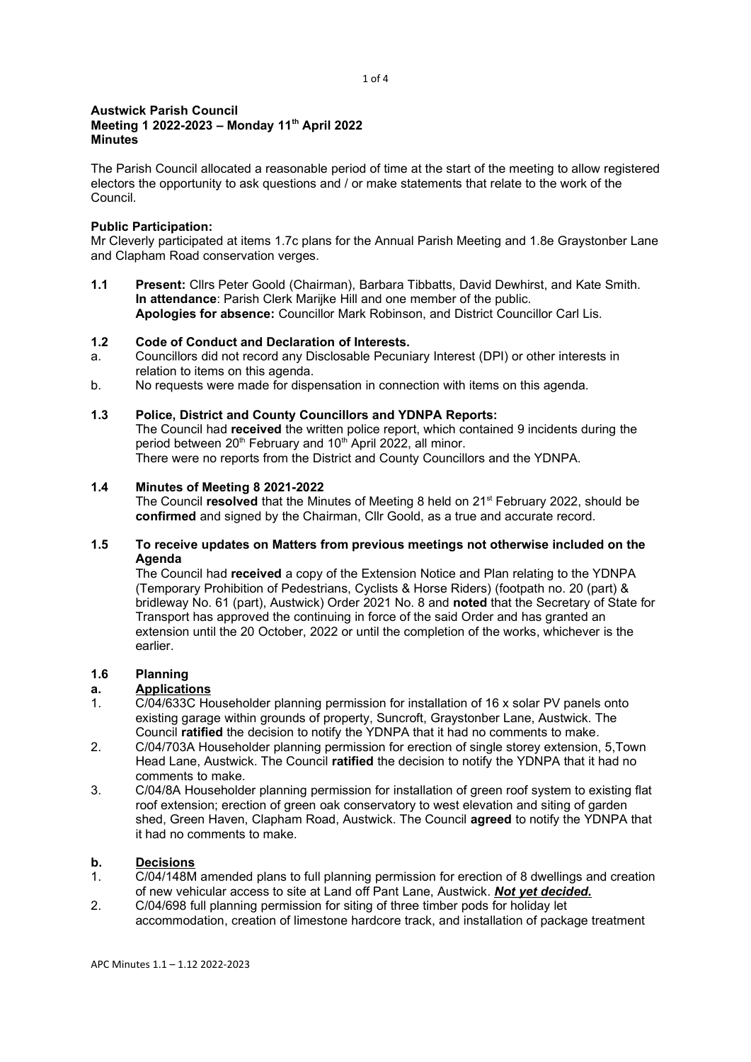#### 1 of 4

#### Austwick Parish Council Meeting 1 2022-2023 – Monday 11<sup>th</sup> April 2022 **Minutes**

The Parish Council allocated a reasonable period of time at the start of the meeting to allow registered electors the opportunity to ask questions and / or make statements that relate to the work of the Council.

## Public Participation:

Mr Cleverly participated at items 1.7c plans for the Annual Parish Meeting and 1.8e Graystonber Lane and Clapham Road conservation verges.

1.1 Present: Cllrs Peter Goold (Chairman), Barbara Tibbatts, David Dewhirst, and Kate Smith. In attendance: Parish Clerk Marijke Hill and one member of the public. Apologies for absence: Councillor Mark Robinson, and District Councillor Carl Lis.

# 1.2 Code of Conduct and Declaration of Interests.

- a. Councillors did not record any Disclosable Pecuniary Interest (DPI) or other interests in relation to items on this agenda.
- b. No requests were made for dispensation in connection with items on this agenda.

## 1.3 Police, District and County Councillors and YDNPA Reports:

The Council had received the written police report, which contained 9 incidents during the period between  $20<sup>th</sup>$  February and  $10<sup>th</sup>$  April 2022, all minor. There were no reports from the District and County Councillors and the YDNPA.

## 1.4 Minutes of Meeting 8 2021-2022

The Council resolved that the Minutes of Meeting 8 held on  $21<sup>st</sup>$  February 2022, should be confirmed and signed by the Chairman, Cllr Goold, as a true and accurate record.

## 1.5 To receive updates on Matters from previous meetings not otherwise included on the Agenda

The Council had received a copy of the Extension Notice and Plan relating to the YDNPA (Temporary Prohibition of Pedestrians, Cyclists & Horse Riders) (footpath no. 20 (part) & bridleway No. 61 (part), Austwick) Order 2021 No. 8 and noted that the Secretary of State for Transport has approved the continuing in force of the said Order and has granted an extension until the 20 October, 2022 or until the completion of the works, whichever is the earlier.

# 1.6 Planning

#### a. Applications

- 1. C/04/633C Householder planning permission for installation of 16 x solar PV panels onto existing garage within grounds of property, Suncroft, Graystonber Lane, Austwick. The Council ratified the decision to notify the YDNPA that it had no comments to make.
- 2. C/04/703A Householder planning permission for erection of single storey extension, 5,Town Head Lane, Austwick. The Council ratified the decision to notify the YDNPA that it had no comments to make.
- 3. C/04/8A Householder planning permission for installation of green roof system to existing flat roof extension; erection of green oak conservatory to west elevation and siting of garden shed, Green Haven, Clapham Road, Austwick. The Council agreed to notify the YDNPA that it had no comments to make.

## b. Decisions

- 1. C/04/148M amended plans to full planning permission for erection of 8 dwellings and creation of new vehicular access to site at Land off Pant Lane, Austwick. Not vet decided.
- 2. C/04/698 full planning permission for siting of three timber pods for holiday let accommodation, creation of limestone hardcore track, and installation of package treatment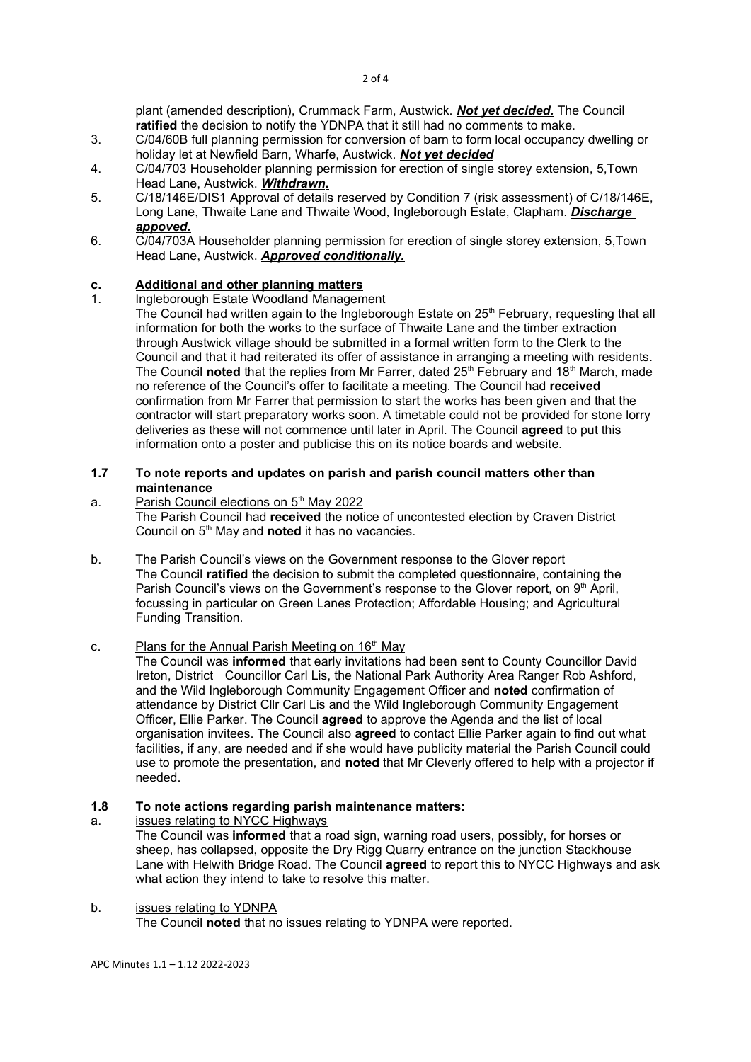plant (amended description), Crummack Farm, Austwick. Not yet decided. The Council ratified the decision to notify the YDNPA that it still had no comments to make.

- 3. C/04/60B full planning permission for conversion of barn to form local occupancy dwelling or holiday let at Newfield Barn, Wharfe, Austwick. Not yet decided
- 4. C/04/703 Householder planning permission for erection of single storey extension, 5,Town Head Lane, Austwick. Withdrawn.
- 5. C/18/146E/DIS1 Approval of details reserved by Condition 7 (risk assessment) of C/18/146E, Long Lane, Thwaite Lane and Thwaite Wood, Ingleborough Estate, Clapham. Discharge appoved.
- 6. C/04/703A Householder planning permission for erection of single storey extension, 5,Town Head Lane, Austwick. Approved conditionally.

# c. Additional and other planning matters<br>1 Ingleborough Estate Woodland Managem

- 1. Ingleborough Estate Woodland Management The Council had written again to the Ingleborough Estate on 25<sup>th</sup> February, requesting that all information for both the works to the surface of Thwaite Lane and the timber extraction through Austwick village should be submitted in a formal written form to the Clerk to the Council and that it had reiterated its offer of assistance in arranging a meeting with residents. The Council **noted** that the replies from Mr Farrer, dated  $25<sup>th</sup>$  February and 18<sup>th</sup> March, made no reference of the Council's offer to facilitate a meeting. The Council had received confirmation from Mr Farrer that permission to start the works has been given and that the contractor will start preparatory works soon. A timetable could not be provided for stone lorry deliveries as these will not commence until later in April. The Council agreed to put this
- 1.7 To note reports and updates on parish and parish council matters other than maintenance

information onto a poster and publicise this on its notice boards and website.

a. Parish Council elections on 5<sup>th</sup> May 2022

The Parish Council had received the notice of uncontested election by Craven District Council on  $5<sup>th</sup>$  May and noted it has no vacancies.

b. The Parish Council's views on the Government response to the Glover report The Council ratified the decision to submit the completed questionnaire, containing the Parish Council's views on the Government's response to the Glover report, on 9<sup>th</sup> April, focussing in particular on Green Lanes Protection; Affordable Housing; and Agricultural Funding Transition.

# c. Plans for the Annual Parish Meeting on 16<sup>th</sup> May

The Council was informed that early invitations had been sent to County Councillor David Ireton, District Councillor Carl Lis, the National Park Authority Area Ranger Rob Ashford, and the Wild Ingleborough Community Engagement Officer and noted confirmation of attendance by District Cllr Carl Lis and the Wild Ingleborough Community Engagement Officer, Ellie Parker. The Council agreed to approve the Agenda and the list of local organisation invitees. The Council also **agreed** to contact Ellie Parker again to find out what facilities, if any, are needed and if she would have publicity material the Parish Council could use to promote the presentation, and noted that Mr Cleverly offered to help with a projector if needed.

#### 1.8 To note actions regarding parish maintenance matters:

a. issues relating to NYCC Highways

The Council was informed that a road sign, warning road users, possibly, for horses or sheep, has collapsed, opposite the Dry Rigg Quarry entrance on the junction Stackhouse Lane with Helwith Bridge Road. The Council **agreed** to report this to NYCC Highways and ask what action they intend to take to resolve this matter.

#### b. issues relating to YDNPA

The Council noted that no issues relating to YDNPA were reported.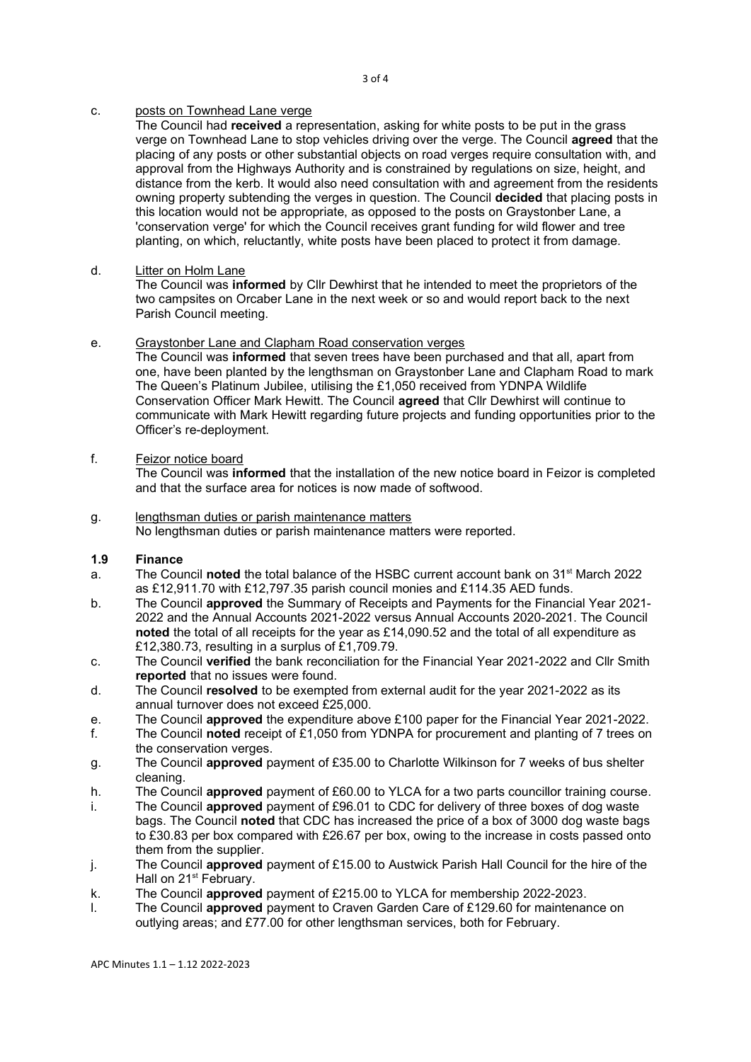#### 3 of 4

# c. posts on Townhead Lane verge

The Council had received a representation, asking for white posts to be put in the grass verge on Townhead Lane to stop vehicles driving over the verge. The Council agreed that the placing of any posts or other substantial objects on road verges require consultation with, and approval from the Highways Authority and is constrained by regulations on size, height, and distance from the kerb. It would also need consultation with and agreement from the residents owning property subtending the verges in question. The Council decided that placing posts in this location would not be appropriate, as opposed to the posts on Graystonber Lane, a 'conservation verge' for which the Council receives grant funding for wild flower and tree planting, on which, reluctantly, white posts have been placed to protect it from damage.

# d. Litter on Holm Lane

The Council was informed by Cllr Dewhirst that he intended to meet the proprietors of the two campsites on Orcaber Lane in the next week or so and would report back to the next Parish Council meeting.

## e. Graystonber Lane and Clapham Road conservation verges

The Council was informed that seven trees have been purchased and that all, apart from one, have been planted by the lengthsman on Graystonber Lane and Clapham Road to mark The Queen's Platinum Jubilee, utilising the £1,050 received from YDNPA Wildlife Conservation Officer Mark Hewitt. The Council agreed that Cllr Dewhirst will continue to communicate with Mark Hewitt regarding future projects and funding opportunities prior to the Officer's re-deployment.

## f. Feizor notice board

The Council was **informed** that the installation of the new notice board in Feizor is completed and that the surface area for notices is now made of softwood.

#### g. lengthsman duties or parish maintenance matters No lengthsman duties or parish maintenance matters were reported.

# 1.9 Finance

- a. The Council noted the total balance of the HSBC current account bank on  $31<sup>st</sup>$  March 2022 as £12,911.70 with £12,797.35 parish council monies and £114.35 AED funds.
- b. The Council approved the Summary of Receipts and Payments for the Financial Year 2021-2022 and the Annual Accounts 2021-2022 versus Annual Accounts 2020-2021. The Council noted the total of all receipts for the year as £14,090.52 and the total of all expenditure as £12,380.73, resulting in a surplus of £1,709.79.
- c. The Council verified the bank reconciliation for the Financial Year 2021-2022 and Cllr Smith reported that no issues were found.
- d. The Council resolved to be exempted from external audit for the year 2021-2022 as its annual turnover does not exceed £25,000.
- e. The Council **approved** the expenditure above £100 paper for the Financial Year 2021-2022.
- f. The Council noted receipt of £1,050 from YDNPA for procurement and planting of 7 trees on the conservation verges.
- g. The Council approved payment of £35.00 to Charlotte Wilkinson for 7 weeks of bus shelter cleaning.
- h. The Council **approved** payment of £60.00 to YLCA for a two parts councillor training course.
- i. The Council approved payment of £96.01 to CDC for delivery of three boxes of dog waste bags. The Council noted that CDC has increased the price of a box of 3000 dog waste bags to £30.83 per box compared with £26.67 per box, owing to the increase in costs passed onto them from the supplier.
- j. The Council approved payment of £15.00 to Austwick Parish Hall Council for the hire of the Hall on 21<sup>st</sup> February.
- k. The Council approved payment of £215.00 to YLCA for membership 2022-2023.
- l. The Council approved payment to Craven Garden Care of £129.60 for maintenance on outlying areas; and £77.00 for other lengthsman services, both for February.